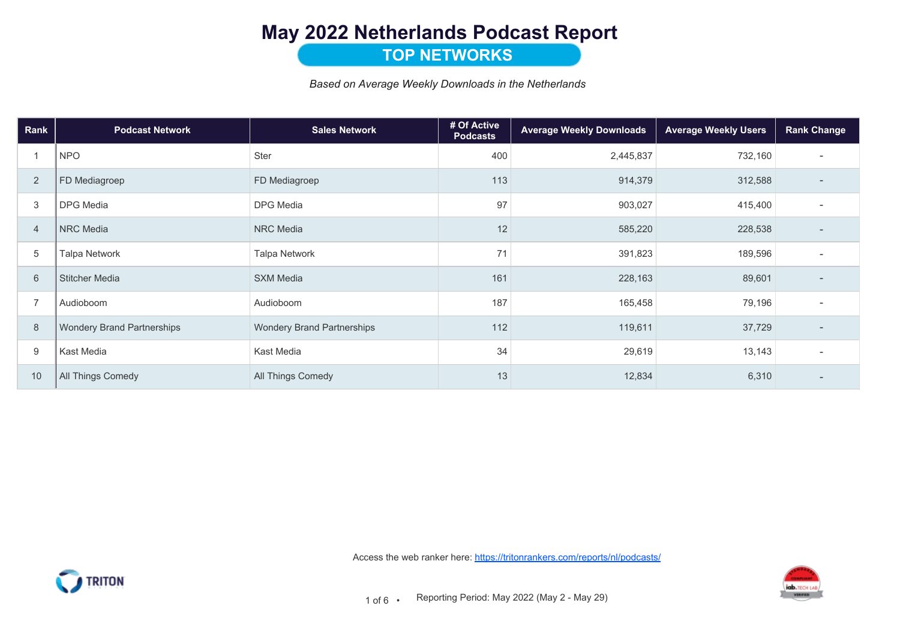# May 2022 Netherlands Podcast Report

### **TOP NETWORKS**

Based on Average Weekly Downloads in the Netherlands

| Rank           | <b>Podcast Network</b>            | <b>Sales Network</b>              | # Of Active<br><b>Podcasts</b> | <b>Average Weekly Downloads</b> | <b>Average Weekly Users</b> | <b>Rank Change</b>       |
|----------------|-----------------------------------|-----------------------------------|--------------------------------|---------------------------------|-----------------------------|--------------------------|
|                | <b>NPO</b>                        | Ster                              | 400                            | 2,445,837                       | 732,160                     | $\overline{a}$           |
| $\overline{2}$ | FD Mediagroep                     | FD Mediagroep                     | 113                            | 914,379                         | 312,588                     |                          |
| 3              | <b>DPG</b> Media                  | <b>DPG</b> Media                  | 97                             | 903,027                         | 415,400                     | $\overline{a}$           |
| $\overline{4}$ | <b>NRC</b> Media                  | <b>NRC</b> Media                  | 12                             | 585,220                         | 228,538                     |                          |
| $\sqrt{5}$     | <b>Talpa Network</b>              | <b>Talpa Network</b>              | 71                             | 391,823                         | 189,596                     | $\overline{\phantom{a}}$ |
| 6              | <b>Stitcher Media</b>             | <b>SXM Media</b>                  | 161                            | 228,163                         | 89,601                      | $\overline{\phantom{a}}$ |
| $\overline{7}$ | Audioboom                         | Audioboom                         | 187                            | 165,458                         | 79,196                      | $\overline{\phantom{a}}$ |
| 8              | <b>Wondery Brand Partnerships</b> | <b>Wondery Brand Partnerships</b> | 112                            | 119,611                         | 37,729                      | $\overline{\phantom{a}}$ |
| 9              | Kast Media                        | Kast Media                        | 34                             | 29,619                          | 13,143                      | $\overline{\phantom{a}}$ |
| 10             | All Things Comedy                 | All Things Comedy                 | 13                             | 12,834                          | 6,310                       | $\overline{a}$           |





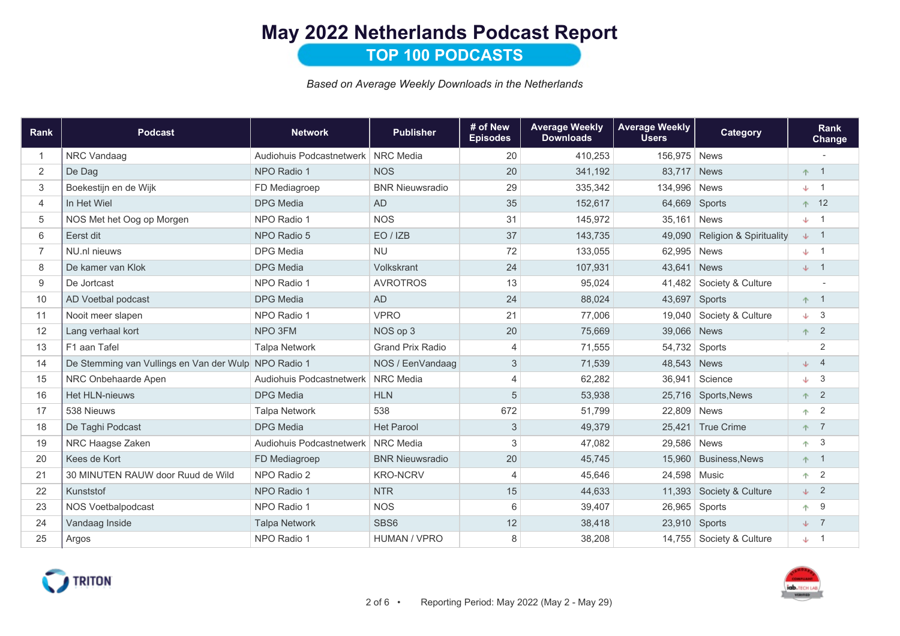# May 2022 Netherlands Podcast Report

TOP 100 PODCASTS

Based on Average Weekly Downloads in the Netherlands

| Rank           | <b>Podcast</b>                                       | <b>Network</b>                       | <b>Publisher</b>        | # of New<br><b>Episodes</b> | <b>Average Weekly</b><br><b>Downloads</b> | <b>Average Weekly</b><br><b>Users</b> | <b>Category</b>                    | <b>Rank</b><br>Change |
|----------------|------------------------------------------------------|--------------------------------------|-------------------------|-----------------------------|-------------------------------------------|---------------------------------------|------------------------------------|-----------------------|
| $\overline{1}$ | NRC Vandaag                                          | Audiohuis Podcastnetwerk   NRC Media |                         | 20                          | 410,253                                   | 156,975 News                          |                                    |                       |
| 2              | De Dag                                               | NPO Radio 1                          | <b>NOS</b>              | 20                          | 341,192                                   | 83,717 News                           |                                    | $+1$                  |
| 3              | Boekestijn en de Wijk                                | FD Mediagroep                        | <b>BNR Nieuwsradio</b>  | 29                          | 335,342                                   | 134,996                               | <b>News</b>                        | $\downarrow$ 1        |
| $\overline{4}$ | In Het Wiel                                          | <b>DPG</b> Media                     | <b>AD</b>               | 35                          | 152,617                                   | 64,669                                | Sports                             | $+ 12$                |
| 5              | NOS Met het Oog op Morgen                            | NPO Radio 1                          | <b>NOS</b>              | 31                          | 145,972                                   | 35,161                                | <b>News</b>                        | $\downarrow$ 1        |
| 6              | Eerst dit                                            | NPO Radio 5                          | EO / IZB                | 37                          | 143,735                                   | 49.090                                | <b>Religion &amp; Spirituality</b> | $\downarrow$ 1        |
| $\overline{7}$ | NU.nl nieuws                                         | <b>DPG</b> Media                     | <b>NU</b>               | 72                          | 133,055                                   | 62,995                                | <b>News</b>                        | $\downarrow$ 1        |
| 8              | De kamer van Klok                                    | <b>DPG</b> Media                     | Volkskrant              | 24                          | 107,931                                   | 43,641                                | <b>News</b>                        | $\downarrow$ 1        |
| 9              | De Jortcast                                          | NPO Radio 1                          | <b>AVROTROS</b>         | 13                          | 95,024                                    | 41.482                                | Society & Culture                  |                       |
| 10             | AD Voetbal podcast                                   | <b>DPG</b> Media                     | <b>AD</b>               | 24                          | 88,024                                    | 43,697                                | Sports                             | $+1$                  |
| 11             | Nooit meer slapen                                    | NPO Radio 1                          | <b>VPRO</b>             | 21                          | 77,006                                    | 19.040                                | Society & Culture                  | $\downarrow$ 3        |
| 12             | Lang verhaal kort                                    | NPO 3FM                              | NOS op 3                | 20                          | 75,669                                    | 39,066                                | News                               | $\overline{2}$<br>不。  |
| 13             | F1 aan Tafel                                         | <b>Talpa Network</b>                 | <b>Grand Prix Radio</b> | $\overline{4}$              | 71,555                                    | 54,732                                | Sports                             | $\overline{2}$        |
| 14             | De Stemming van Vullings en Van der Wulp NPO Radio 1 |                                      | NOS / EenVandaag        | 3                           | 71,539                                    | 48,543 News                           |                                    | $\overline{4}$<br>sk. |
| 15             | NRC Onbehaarde Apen                                  | Audiohuis Podcastnetwerk             | <b>NRC</b> Media        | $\overline{4}$              | 62,282                                    | 36,941                                | Science                            | -3<br>ste i           |
| 16             | <b>Het HLN-nieuws</b>                                | <b>DPG</b> Media                     | <b>HLN</b>              | 5                           | 53,938                                    |                                       | 25,716 Sports, News                | $\overline{2}$<br>不一  |
| 17             | 538 Nieuws                                           | <b>Talpa Network</b>                 | 538                     | 672                         | 51,799                                    | 22,809 News                           |                                    | $\overline{2}$<br>不   |
| 18             | De Taghi Podcast                                     | <b>DPG</b> Media                     | <b>Het Parool</b>       | 3                           | 49,379                                    | 25,421                                | <b>True Crime</b>                  | $+ 7$                 |
| 19             | NRC Haagse Zaken                                     | Audiohuis Podcastnetwerk   NRC Media |                         | 3                           | 47,082                                    | 29,586 News                           |                                    | 3<br>不                |
| 20             | Kees de Kort                                         | FD Mediagroep                        | <b>BNR Nieuwsradio</b>  | 20                          | 45,745                                    |                                       | 15,960 Business, News              | $+1$                  |
| 21             | 30 MINUTEN RAUW door Ruud de Wild                    | NPO Radio 2                          | <b>KRO-NCRV</b>         | $\overline{4}$              | 45,646                                    | 24,598 Music                          |                                    | $\overline{2}$<br>不   |
| 22             | Kunststof                                            | NPO Radio 1                          | <b>NTR</b>              | 15                          | 44,633                                    | 11,393                                | Society & Culture                  | $\downarrow$ 2        |
| 23             | <b>NOS Voetbalpodcast</b>                            | NPO Radio 1                          | <b>NOS</b>              | 6                           | 39,407                                    | 26,965                                | Sports                             | - 9<br>不              |
| 24             | Vandaag Inside                                       | <b>Talpa Network</b>                 | SBS6                    | 12                          | 38,418                                    | 23,910 Sports                         |                                    | $\downarrow$ 7        |
| 25             | Argos                                                | NPO Radio 1                          | <b>HUMAN / VPRO</b>     | 8                           | 38,208                                    |                                       | 14,755   Society & Culture         | $\downarrow$ 1        |



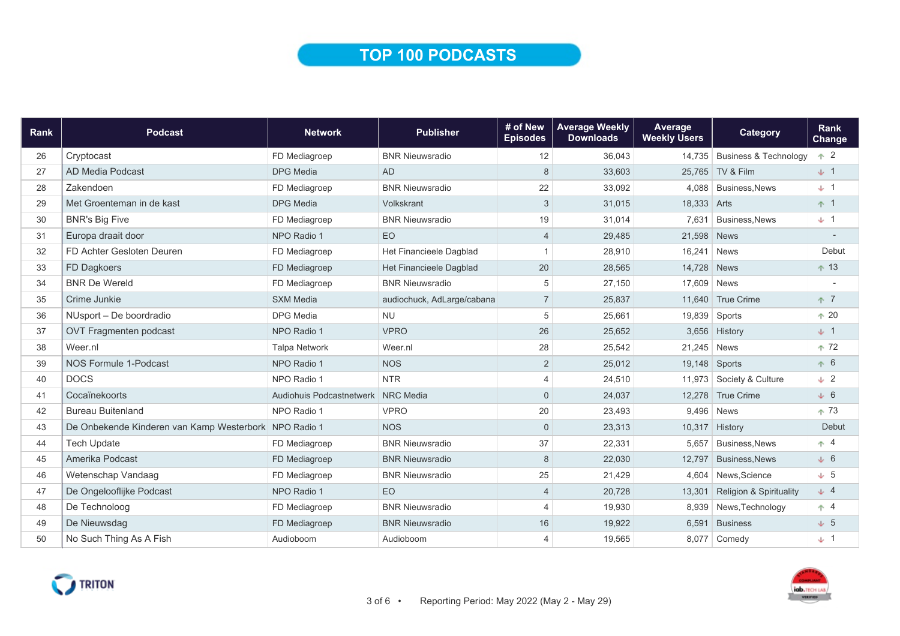### TOP 100 PODCASTS

| Rank | <b>Podcast</b>                                        | <b>Network</b>                     | <b>Publisher</b>           | # of New<br><b>Episodes</b> | <b>Average Weekly</b><br><b>Downloads</b> | Average<br><b>Weekly Users</b> | Category                           | Rank<br><b>Change</b> |
|------|-------------------------------------------------------|------------------------------------|----------------------------|-----------------------------|-------------------------------------------|--------------------------------|------------------------------------|-----------------------|
| 26   | Cryptocast                                            | FD Mediagroep                      | <b>BNR Nieuwsradio</b>     | 12                          | 36.043                                    |                                | 14,735 Business & Technology       | $+2$                  |
| 27   | AD Media Podcast                                      | <b>DPG</b> Media                   | <b>AD</b>                  | 8                           | 33,603                                    |                                | 25,765 TV & Film                   | $\downarrow$ 1        |
| 28   | Zakendoen                                             | FD Mediagroep                      | <b>BNR Nieuwsradio</b>     | 22                          | 33,092                                    |                                | 4.088 Business.News                | $\downarrow$ 1        |
| 29   | Met Groenteman in de kast                             | <b>DPG</b> Media                   | Volkskrant                 | 3                           | 31,015                                    | 18,333 Arts                    |                                    | $+1$                  |
| 30   | <b>BNR's Big Five</b>                                 | FD Mediagroep                      | <b>BNR Nieuwsradio</b>     | 19                          | 31,014                                    | 7.631                          | <b>Business, News</b>              | $\downarrow$ 1        |
| 31   | Europa draait door                                    | NPO Radio 1                        | EO                         | $\overline{4}$              | 29,485                                    | 21,598 News                    |                                    |                       |
| 32   | FD Achter Gesloten Deuren                             | FD Mediagroep                      | Het Financieele Dagblad    |                             | 28,910                                    | 16,241                         | <b>News</b>                        | Debut                 |
| 33   | FD Dagkoers                                           | FD Mediagroep                      | Het Financieele Dagblad    | 20                          | 28,565                                    | 14,728                         | <b>News</b>                        | $+13$                 |
| 34   | <b>BNR De Wereld</b>                                  | FD Mediagroep                      | <b>BNR Nieuwsradio</b>     | 5                           | 27,150                                    | 17,609 News                    |                                    |                       |
| 35   | Crime Junkie                                          | <b>SXM Media</b>                   | audiochuck, AdLarge/cabana | $\overline{7}$              | 25,837                                    | 11,640                         | True Crime                         | $+7$                  |
| 36   | NUsport - De boordradio                               | <b>DPG Media</b>                   | <b>NU</b>                  | 5                           | 25.661                                    | 19,839                         | Sports                             | $+20$                 |
| 37   | OVT Fragmenten podcast                                | NPO Radio 1                        | <b>VPRO</b>                | 26                          | 25,652                                    | 3,656                          | History                            | $\downarrow$ 1        |
| 38   | Weer.nl                                               | <b>Talpa Network</b>               | Weer.nl                    | 28                          | 25,542                                    | 21,245                         | <b>News</b>                        | $+72$                 |
| 39   | NOS Formule 1-Podcast                                 | NPO Radio 1                        | <b>NOS</b>                 | 2                           | 25,012                                    |                                | 19,148 Sports                      | $+6$                  |
| 40   | <b>DOCS</b>                                           | NPO Radio 1                        | <b>NTR</b>                 | $\overline{4}$              | 24,510                                    | 11,973                         | Society & Culture                  | $\downarrow$ 2        |
| 41   | Cocaïnekoorts                                         | Audiohuis Podcastnetwerk NRC Media |                            | $\Omega$                    | 24,037                                    |                                | 12,278 True Crime                  | $\downarrow$ 6        |
| 42   | <b>Bureau Buitenland</b>                              | NPO Radio 1                        | <b>VPRO</b>                | 20                          | 23,493                                    |                                | 9,496 News                         | $+73$                 |
| 43   | De Onbekende Kinderen van Kamp Westerbork NPO Radio 1 |                                    | <b>NOS</b>                 | $\mathbf{0}$                | 23,313                                    | 10,317                         | History                            | Debut                 |
| 44   | <b>Tech Update</b>                                    | FD Mediagroep                      | <b>BNR Nieuwsradio</b>     | 37                          | 22,331                                    | 5,657                          | <b>Business, News</b>              | $+4$                  |
| 45   | Amerika Podcast                                       | FD Mediagroep                      | <b>BNR Nieuwsradio</b>     | 8                           | 22,030                                    | 12,797                         | <b>Business, News</b>              | $\downarrow$ 6        |
| 46   | Wetenschap Vandaag                                    | FD Mediagroep                      | <b>BNR Nieuwsradio</b>     | 25                          | 21,429                                    | 4.604                          | News, Science                      | $\downarrow$ 5        |
| 47   | De Ongelooflijke Podcast                              | NPO Radio 1                        | EO                         | $\overline{4}$              | 20,728                                    | 13,301                         | <b>Religion &amp; Spirituality</b> | $\downarrow$ 4        |
| 48   | De Technoloog                                         | FD Mediagroep                      | <b>BNR Nieuwsradio</b>     | $\boldsymbol{\Lambda}$      | 19,930                                    | 8,939                          | News, Technology                   | $+4$                  |
| 49   | De Nieuwsdag                                          | FD Mediagroep                      | <b>BNR Nieuwsradio</b>     | 16                          | 19,922                                    | 6,591                          | <b>Business</b>                    | $\downarrow$ 5        |
| 50   | No Such Thing As A Fish                               | Audioboom                          | Audioboom                  | $\overline{4}$              | 19,565                                    |                                | 8,077 Comedy                       | $\downarrow$ 1        |



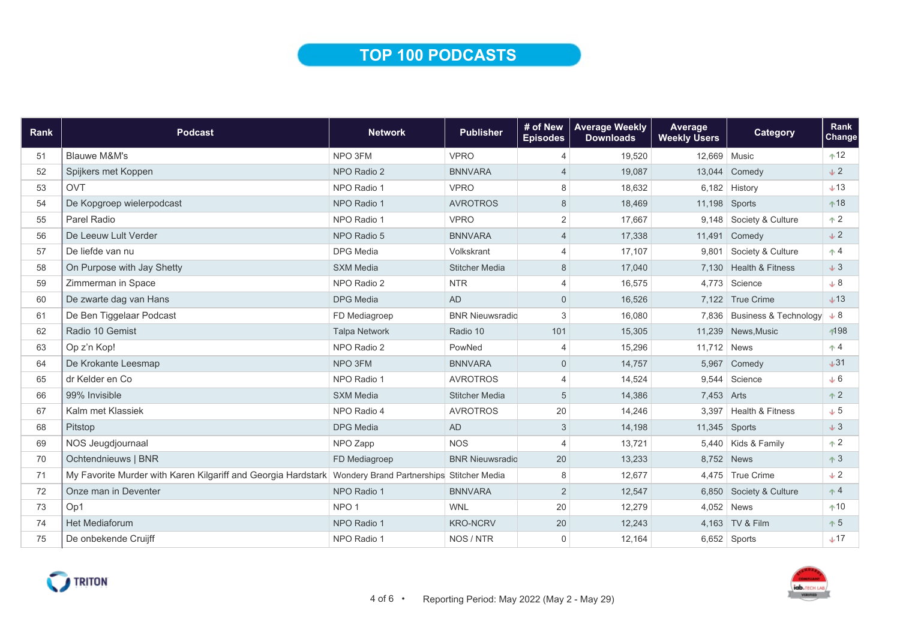## TOP 100 PODCASTS

| Rank | <b>Podcast</b>                                                                                          | <b>Network</b>       | <b>Publisher</b>       | # of New<br><b>Episodes</b> | <b>Average Weekly</b><br><b>Downloads</b> | Average<br><b>Weekly Users</b> | <b>Category</b>             | Rank<br>Change |
|------|---------------------------------------------------------------------------------------------------------|----------------------|------------------------|-----------------------------|-------------------------------------------|--------------------------------|-----------------------------|----------------|
| 51   | <b>Blauwe M&amp;M's</b>                                                                                 | NPO 3FM              | <b>VPRO</b>            | 4                           | 19,520                                    | 12,669 Music                   |                             | $+12$          |
| 52   | Spijkers met Koppen                                                                                     | NPO Radio 2          | <b>BNNVARA</b>         | 4                           | 19,087                                    |                                | 13,044 Comedy               | $\pm 2$        |
| 53   | <b>OVT</b>                                                                                              | NPO Radio 1          | <b>VPRO</b>            | 8                           | 18,632                                    |                                | $6,182$ History             | $+13$          |
| 54   | De Kopgroep wielerpodcast                                                                               | NPO Radio 1          | <b>AVROTROS</b>        | 8                           | 18,469                                    | 11,198                         | Sports                      | $+18$          |
| 55   | Parel Radio                                                                                             | NPO Radio 1          | <b>VPRO</b>            | $\overline{c}$              | 17,667                                    |                                | 9,148 Society & Culture     | $+2$           |
| 56   | De Leeuw Lult Verder                                                                                    | NPO Radio 5          | <b>BNNVARA</b>         | $\overline{4}$              | 17,338                                    |                                | 11,491 Comedy               | $\downarrow$ 2 |
| 57   | De liefde van nu                                                                                        | <b>DPG</b> Media     | Volkskrant             | 4                           | 17,107                                    | 9.801                          | Society & Culture           | $\uparrow$ 4   |
| 58   | On Purpose with Jay Shetty                                                                              | <b>SXM Media</b>     | <b>Stitcher Media</b>  | 8                           | 17,040                                    |                                | 7.130 Health & Fitness      | $\downarrow$ 3 |
| 59   | Zimmerman in Space                                                                                      | NPO Radio 2          | <b>NTR</b>             | 4                           | 16,575                                    |                                | 4,773 Science               | $+8$           |
| 60   | De zwarte dag van Hans                                                                                  | <b>DPG</b> Media     | <b>AD</b>              | $\mathbf 0$                 | 16,526                                    |                                | 7,122 True Crime            | $+13$          |
| 61   | De Ben Tiggelaar Podcast                                                                                | FD Mediagroep        | <b>BNR Nieuwsradio</b> | 3                           | 16,080                                    |                                | 7,836 Business & Technology | $+8$           |
| 62   | Radio 10 Gemist                                                                                         | <b>Talpa Network</b> | Radio 10               | 101                         | 15,305                                    |                                | 11,239 News, Music          | ∱198           |
| 63   | Op z'n Kop!                                                                                             | NPO Radio 2          | PowNed                 | 4                           | 15,296                                    | 11,712 News                    |                             | $+4$           |
| 64   | De Krokante Leesmap                                                                                     | NPO 3FM              | <b>BNNVARA</b>         | $\mathbf{0}$                | 14,757                                    | 5,967                          | Comedy                      | $+31$          |
| 65   | dr Kelder en Co                                                                                         | NPO Radio 1          | <b>AVROTROS</b>        | 4                           | 14,524                                    | 9,544                          | Science                     | $\downarrow 6$ |
| 66   | 99% Invisible                                                                                           | <b>SXM Media</b>     | <b>Stitcher Media</b>  | 5                           | 14,386                                    | 7,453 Arts                     |                             | $+2$           |
| 67   | Kalm met Klassiek                                                                                       | NPO Radio 4          | <b>AVROTROS</b>        | 20                          | 14,246                                    |                                | 3,397 Health & Fitness      | $\downarrow$ 5 |
| 68   | Pitstop                                                                                                 | <b>DPG</b> Media     | <b>AD</b>              | 3                           | 14,198                                    | $11,345$ Sports                |                             | $\downarrow$ 3 |
| 69   | NOS Jeugdjournaal                                                                                       | NPO Zapp             | <b>NOS</b>             | $\overline{4}$              | 13.721                                    |                                | 5,440 Kids & Family         | $+2$           |
| 70   | Ochtendnieuws   BNR                                                                                     | FD Mediagroep        | <b>BNR Nieuwsradio</b> | 20                          | 13,233                                    | 8,752 News                     |                             | $+3$           |
| 71   | My Favorite Murder with Karen Kilgariff and Georgia Hardstark Wondery Brand Partnerships Stitcher Media |                      |                        | 8                           | 12,677                                    |                                | 4,475 True Crime            | $\downarrow$ 2 |
| 72   | Onze man in Deventer                                                                                    | NPO Radio 1          | <b>BNNVARA</b>         | 2                           | 12,547                                    |                                | 6,850 Society & Culture     | $+4$           |
| 73   | Op1                                                                                                     | NPO <sub>1</sub>     | <b>WNL</b>             | 20                          | 12,279                                    |                                | $4,052$ News                | $+10$          |
| 74   | Het Mediaforum                                                                                          | NPO Radio 1          | <b>KRO-NCRV</b>        | 20                          | 12,243                                    |                                | 4,163 TV & Film             | $+5$           |
| 75   | De onbekende Cruijff                                                                                    | NPO Radio 1          | NOS / NTR              | 0                           | 12,164                                    |                                | $6,652$ Sports              | $+17$          |



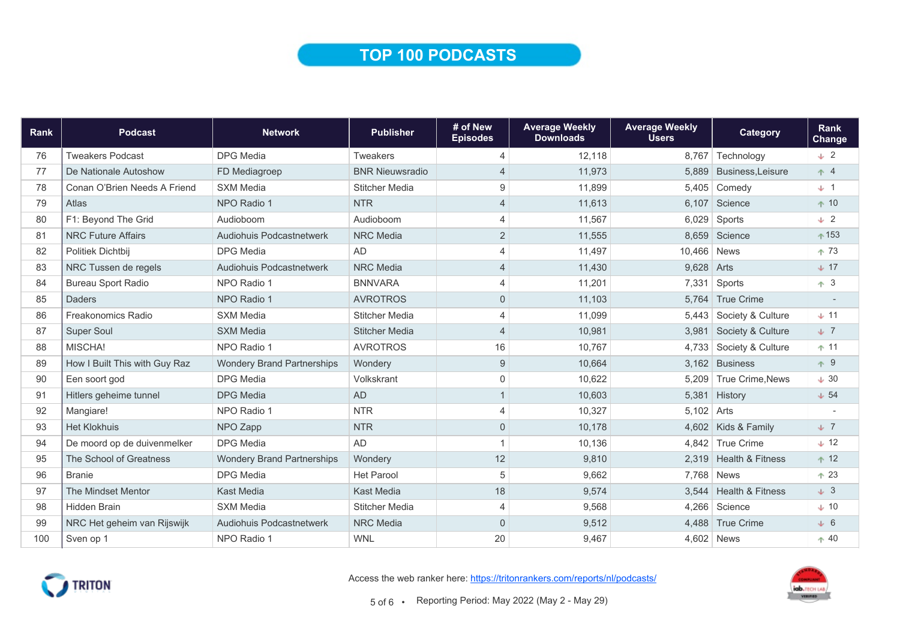### TOP 100 PODCASTS

| Rank | <b>Podcast</b>                | <b>Network</b>                    | <b>Publisher</b>       | # of New<br><b>Episodes</b> | <b>Average Weekly</b><br><b>Downloads</b> | <b>Average Weekly</b><br><b>Users</b> | Category                | Rank<br><b>Change</b> |
|------|-------------------------------|-----------------------------------|------------------------|-----------------------------|-------------------------------------------|---------------------------------------|-------------------------|-----------------------|
| 76   | <b>Tweakers Podcast</b>       | <b>DPG</b> Media                  | <b>Tweakers</b>        | $\overline{4}$              | 12,118                                    |                                       | 8,767 Technology        | $\sqrt{2}$            |
| 77   | De Nationale Autoshow         | FD Mediagroep                     | <b>BNR Nieuwsradio</b> | $\overline{4}$              | 11,973                                    | 5.889                                 | <b>Business.Leisure</b> | $+4$                  |
| 78   | Conan O'Brien Needs A Friend  | <b>SXM Media</b>                  | <b>Stitcher Media</b>  | 9                           | 11,899                                    |                                       | 5,405 Comedy            | $+1$                  |
| 79   | Atlas                         | NPO Radio 1                       | <b>NTR</b>             | 4                           | 11,613                                    | 6,107                                 | Science                 | $+10$                 |
| 80   | F1: Beyond The Grid           | Audioboom                         | Audioboom              | $\overline{4}$              | 11,567                                    | 6,029                                 | Sports                  | $\sqrt{2}$            |
| 81   | <b>NRC Future Affairs</b>     | <b>Audiohuis Podcastnetwerk</b>   | <b>NRC</b> Media       | 2                           | 11,555                                    |                                       | 8.659 Science           | $+153$                |
| 82   | Politiek Dichtbij             | <b>DPG</b> Media                  | <b>AD</b>              | $\overline{4}$              | 11,497                                    | 10,466 News                           |                         | $+73$                 |
| 83   | NRC Tussen de regels          | Audiohuis Podcastnetwerk          | <b>NRC</b> Media       | $\overline{4}$              | 11,430                                    | 9,628 Arts                            |                         | $\pm 17$              |
| 84   | <b>Bureau Sport Radio</b>     | NPO Radio 1                       | <b>BNNVARA</b>         | $\overline{4}$              | 11,201                                    | 7,331                                 | Sports                  | $+3$                  |
| 85   | Daders                        | NPO Radio 1                       | <b>AVROTROS</b>        | $\overline{0}$              | 11,103                                    | 5.764                                 | <b>True Crime</b>       |                       |
| 86   | Freakonomics Radio            | <b>SXM Media</b>                  | <b>Stitcher Media</b>  | $\overline{4}$              | 11.099                                    |                                       | 5,443 Society & Culture | $+11$                 |
| 87   | <b>Super Soul</b>             | <b>SXM Media</b>                  | <b>Stitcher Media</b>  | $\overline{4}$              | 10,981                                    | 3,981                                 | Society & Culture       | $\sqrt{7}$            |
| 88   | MISCHA!                       | NPO Radio 1                       | <b>AVROTROS</b>        | 16                          | 10,767                                    | 4,733                                 | Society & Culture       | $+11$                 |
| 89   | How I Built This with Guy Raz | <b>Wondery Brand Partnerships</b> | Wondery                | $9\,$                       | 10.664                                    |                                       | 3,162 Business          | $+9$                  |
| 90   | Een soort god                 | <b>DPG</b> Media                  | Volkskrant             | $\Omega$                    | 10,622                                    |                                       | 5,209 True Crime, News  | $\downarrow$ 30       |
| 91   | Hitlers geheime tunnel        | <b>DPG</b> Media                  | <b>AD</b>              | $\mathbf{1}$                | 10,603                                    |                                       | 5,381 History           | $\downarrow$ 54       |
| 92   | Mangiare!                     | NPO Radio 1                       | <b>NTR</b>             | 4                           | 10,327                                    | $5,102$ Arts                          |                         |                       |
| 93   | <b>Het Klokhuis</b>           | NPO Zapp                          | <b>NTR</b>             | $\overline{0}$              | 10,178                                    |                                       | 4,602 Kids & Family     | $\sqrt{7}$            |
| 94   | De moord op de duivenmelker   | <b>DPG</b> Media                  | AD                     |                             | 10,136                                    |                                       | 4.842 True Crime        | $\downarrow$ 12       |
| 95   | The School of Greatness       | <b>Wondery Brand Partnerships</b> | Wondery                | 12                          | 9,810                                     |                                       | 2,319 Health & Fitness  | $+12$                 |
| 96   | <b>Branie</b>                 | <b>DPG</b> Media                  | <b>Het Parool</b>      | 5                           | 9,662                                     |                                       | 7,768 News              | $+23$                 |
| 97   | The Mindset Mentor            | <b>Kast Media</b>                 | Kast Media             | 18                          | 9,574                                     |                                       | 3,544 Health & Fitness  | $\downarrow$ 3        |
| 98   | <b>Hidden Brain</b>           | <b>SXM Media</b>                  | <b>Stitcher Media</b>  | $\overline{4}$              | 9,568                                     |                                       | 4,266 Science           | $\downarrow$ 10       |
| 99   | NRC Het geheim van Rijswijk   | Audiohuis Podcastnetwerk          | <b>NRC</b> Media       | $\Omega$                    | 9,512                                     |                                       | 4,488 True Crime        | $\downarrow$ 6        |
| 100  | Sven op 1                     | NPO Radio 1                       | <b>WNL</b>             | 20                          | 9,467                                     |                                       | $4,602$ News            | $+40$                 |



Access the web ranker here: https://tritonrankers.com/reports/nl/podcasts/